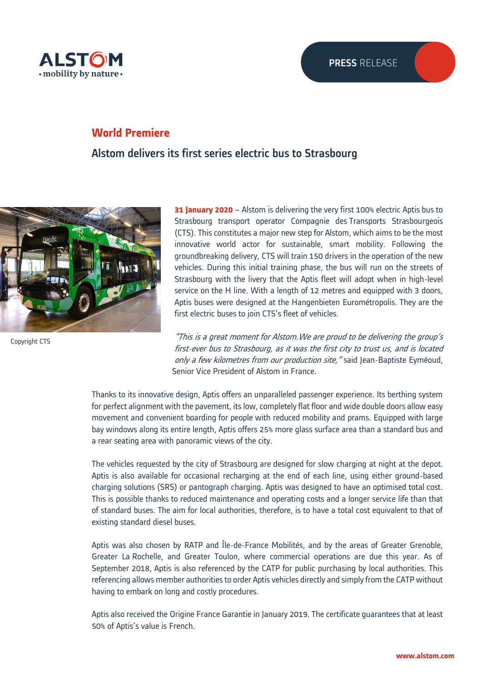

## **World Premiere**

Alstom delivers its first series electric bus to Strasbourg



© Alstom / TOMA - Atypix | Thibaut Priou Copyright CTS

**31 January 2020** – Alstom is delivering the very first 100% electric Aptis bus to Strasbourg transport operator Compagnie des Transports Strasbourgeois (CTS). This constitutes a major new step for Alstom, which aims to be the most innovative world actor for sustainable, smart mobility. Following the groundbreaking delivery, CTS will train 150 drivers in the operation of the new vehicles. During this initial training phase, the bus will run on the streets of Strasbourg with the livery that the Aptis fleet will adopt when in high-level service on the H line. With a length of 12 metres and equipped with 3 doors, Aptis buses were designed at the Hangenbieten Eurométropolis. They are the first electric buses to join CTS's fleet of vehicles.

"This is a great moment for Alstom.We are proud to be delivering the group's first-ever bus to Strasbourg, as it was the first city to trust us, and is located only a few kilometres from our production site, "said Jean-Baptiste Eyméoud, Senior Vice President of Alstom in France.

Thanks to its innovative design, Aptis offers an unparalleled passenger experience. Its berthing system for perfect alignment with the pavement, its low, completely flat floor and wide double doors allow easy movement and convenient boarding for people with reduced mobility and prams. Equipped with large bay windows along its entire length, Aptis offers 25% more glass surface area than a standard bus and a rear seating area with panoramic views of the city.

The vehicles requested by the city of Strasbourg are designed for slow charging at night at the depot. Aptis is also available for occasional recharging at the end of each line, using either ground-based charging solutions (SRS) or pantograph charging. Aptis was designed to have an optimised total cost. This is possible thanks to reduced maintenance and operating costs and a longer service life than that of standard buses. The aim for local authorities, therefore, is to have a total cost equivalent to that of existing standard diesel buses.

Aptis was also chosen by RATP and Île-de-France Mobilités, and by the areas of Greater Grenoble, Greater La Rochelle, and Greater Toulon, where commercial operations are due this year. As of September 2018, Aptis is also referenced by the CATP for public purchasing by local authorities. This referencing allows member authorities to order Aptis vehicles directly and simply from the CATP without having to embark on long and costly procedures.

Aptis also received the Origine France Garantie in January 2019. The certificate guarantees that at least 50% of Aptis's value is French.